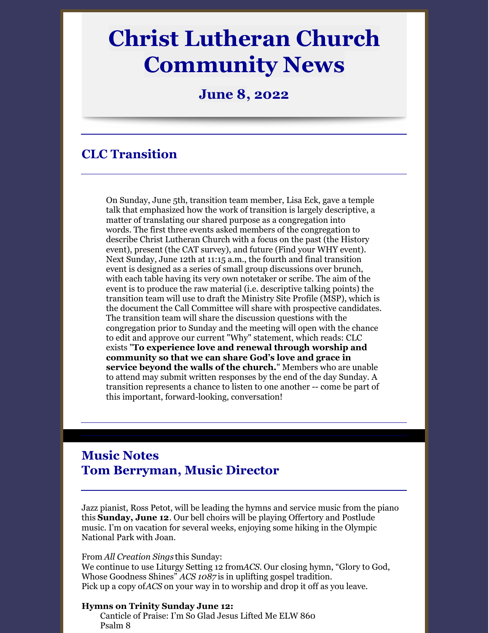# **Christ Lutheran Church Community News**

**June 8, 2022**

# **CLC Transition**

On Sunday, June 5th, transition team member, Lisa Eck, gave a temple talk that emphasized how the work of transition is largely descriptive, a matter of translating our shared purpose as a congregation into words. The first three events asked members of the congregation to describe Christ Lutheran Church with a focus on the past (the History event), present (the CAT survey), and future (Find your WHY event). Next Sunday, June 12th at 11:15 a.m., the fourth and final transition event is designed as a series of small group discussions over brunch, with each table having its very own notetaker or scribe. The aim of the event is to produce the raw material (i.e. descriptive talking points) the transition team will use to draft the Ministry Site Profile (MSP), which is the document the Call Committee will share with prospective candidates. The transition team will share the discussion questions with the congregation prior to Sunday and the meeting will open with the chance to edit and approve our current "Why" statement, which reads: CLC exists "**To experience love and renewal through worship and community so that we can share God's love and grace in service beyond the walls of the church.**" Members who are unable to attend may submit written responses by the end of the day Sunday. A transition represents a chance to listen to one another -- come be part of this important, forward-looking, conversation!

## **Music Notes Tom Berryman, Music Director**

Jazz pianist, Ross Petot, will be leading the hymns and service music from the piano this **Sunday, June 12**. Our bell choirs will be playing Offertory and Postlude music. I'm on vacation for several weeks, enjoying some hiking in the Olympic National Park with Joan.

#### From *All Creation Sings* this Sunday:

We continue to use Liturgy Setting 12 from*ACS.* Our closing hymn, "Glory to God, Whose Goodness Shines" *ACS 1087* is in uplifting gospel tradition. Pick up a copy of*ACS* on your way in to worship and drop it off as you leave.

#### **Hymns on Trinity Sunday June 12:**

Canticle of Praise: I'm So Glad Jesus Lifted Me ELW 860 Psalm 8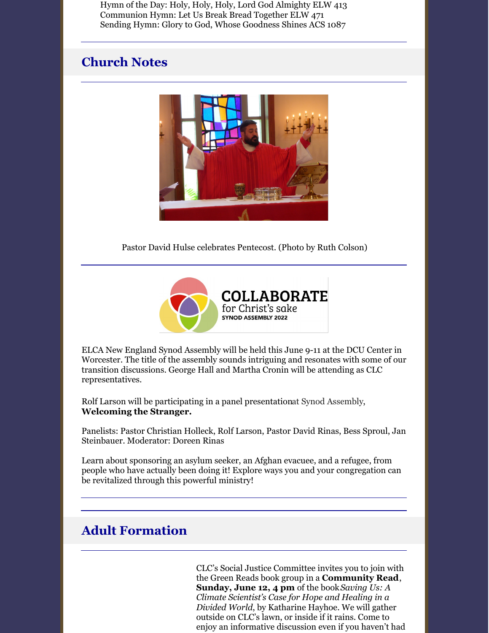Hymn of the Day: Holy, Holy, Holy, Lord God Almighty ELW 413 Communion Hymn: Let Us Break Bread Together ELW 471 Sending Hymn: Glory to God, Whose Goodness Shines ACS 1087

### **Church Notes**



Pastor David Hulse celebrates Pentecost. (Photo by Ruth Colson)



ELCA New England Synod Assembly will be held this June 9-11 at the DCU Center in Worcester. The title of the assembly sounds intriguing and resonates with some of our transition discussions. George Hall and Martha Cronin will be attending as CLC representatives.

Rolf Larson will be participating in a panel presentationat Synod Assembly, **Welcoming the Stranger.**

Panelists: Pastor Christian Holleck, Rolf Larson, Pastor David Rinas, Bess Sproul, Jan Steinbauer. Moderator: Doreen Rinas

Learn about sponsoring an asylum seeker, an Afghan evacuee, and a refugee, from people who have actually been doing it! Explore ways you and your congregation can be revitalized through this powerful ministry!

# **Adult Formation**

CLC's Social Justice Committee invites you to join with the Green Reads book group in a **Community Read**, **Sunday, June 12, 4 pm** of the book*Saving Us: A Climate Scientist's Case for Hope and Healing in a Divided World*, by Katharine Hayhoe. We will gather outside on CLC's lawn, or inside if it rains. Come to enjoy an informative discussion even if you haven't had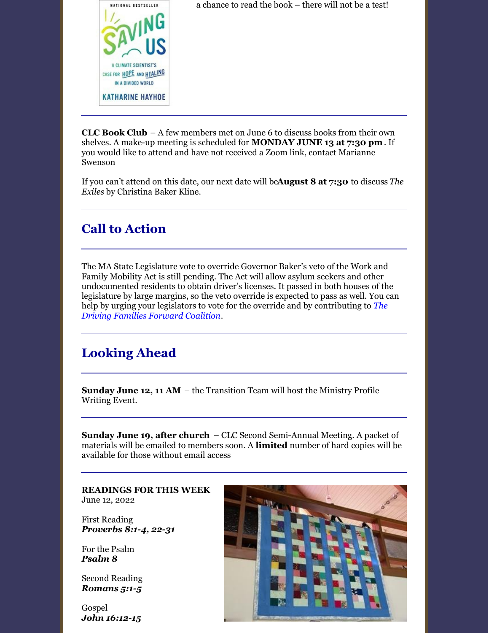

a chance to read the book – there will not be a test!

**CLC Book Club** – A few members met on June 6 to discuss books from their own shelves. A make-up meeting is scheduled for **MONDAY JUNE 13 at 7:30 pm**. If you would like to attend and have not received a Zoom link, contact Marianne Swenson

If you can't attend on this date, our next date will be**August 8 at 7:30** to discuss *The Exiles* by Christina Baker Kline.

# **Call to Action**

The MA State Legislature vote to override Governor Baker's veto of the Work and Family Mobility Act is still pending. The Act will allow asylum seekers and other undocumented residents to obtain driver's licenses. It passed in both houses of the legislature by large margins, so the veto override is expected to pass as well. You can help by urging your legislators to vote for the override and by [contributing](https://actionnetwork.org/groups/driving-families-forward) to *The Driving Families Forward Coalition*.

# **Looking Ahead**

**Sunday June 12, 11 AM** – the Transition Team will host the Ministry Profile Writing Event.

**Sunday June 19, after church** – CLC Second Semi-Annual Meeting. A packet of materials will be emailed to members soon. A **limited** number of hard copies will be available for those without email access

**READINGS FOR THIS WEEK** June 12, 2022

First Reading *[Proverbs](https://members.sundaysandseasons.com/#) 8:1-4, 22-31*

For the Psalm *[Psalm](https://members.sundaysandseasons.com/#) 8*

Second Reading *[Romans](https://members.sundaysandseasons.com/#) 5:1-5*

Gospel *John [16:12-15](https://members.sundaysandseasons.com/#)*